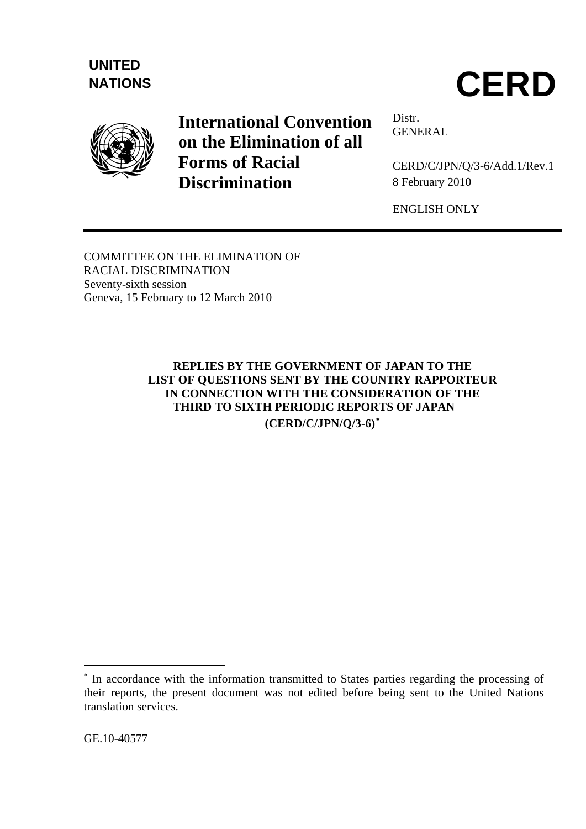



# **International Convention on the Elimination of all Forms of Racial Discrimination**

Distr. GENERAL

CERD/C/JPN/Q/3-6/Add.1/Rev.1 8 February 2010

ENGLISH ONLY

COMMITTEE ON THE ELIMINATION OF RACIAL DISCRIMINATION Seventy-sixth session Geneva, 15 February to 12 March 2010

> **REPLIES BY THE GOVERNMENT OF JAPAN TO THE LIST OF QUESTIONS SENT BY THE COUNTRY RAPPORTEUR IN CONNECTION WITH THE CONSIDERATION OF THE THIRD TO SIXTH PERIODIC REPORTS OF JAPAN (CERD/C/JPN/Q/3-6)**[∗](#page-0-0)

1

<span id="page-0-0"></span><sup>∗</sup> In accordance with the information transmitted to States parties regarding the processing of their reports, the present document was not edited before being sent to the United Nations translation services.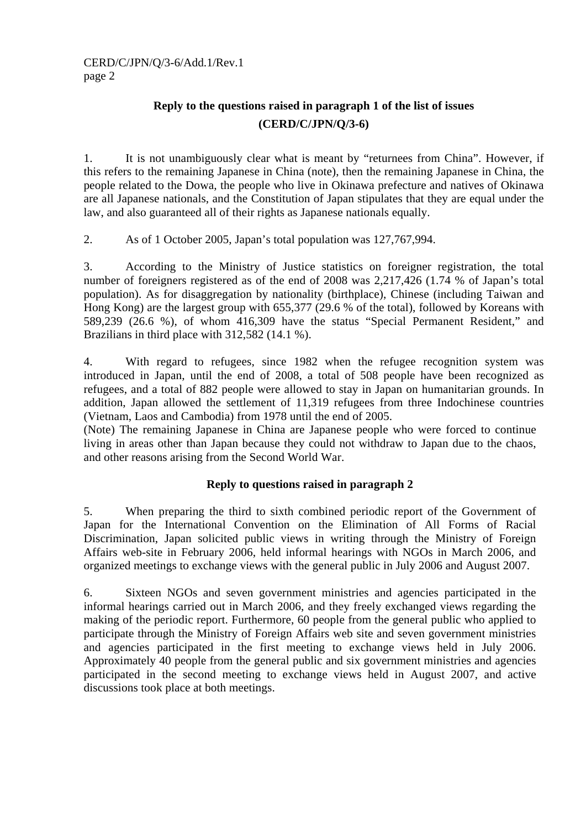## **Reply to the questions raised in paragraph 1 of the list of issues (CERD/C/JPN/Q/3-6)**

1. It is not unambiguously clear what is meant by "returnees from China". However, if this refers to the remaining Japanese in China (note), then the remaining Japanese in China, the people related to the Dowa, the people who live in Okinawa prefecture and natives of Okinawa are all Japanese nationals, and the Constitution of Japan stipulates that they are equal under the law, and also guaranteed all of their rights as Japanese nationals equally.

2. As of 1 October 2005, Japan's total population was 127,767,994.

3. According to the Ministry of Justice statistics on foreigner registration, the total number of foreigners registered as of the end of 2008 was 2,217,426 (1.74 % of Japan's total population). As for disaggregation by nationality (birthplace), Chinese (including Taiwan and Hong Kong) are the largest group with 655,377 (29.6 % of the total), followed by Koreans with 589,239 (26.6 %), of whom 416,309 have the status "Special Permanent Resident," and Brazilians in third place with 312,582 (14.1 %).

4. With regard to refugees, since 1982 when the refugee recognition system was introduced in Japan, until the end of 2008, a total of 508 people have been recognized as refugees, and a total of 882 people were allowed to stay in Japan on humanitarian grounds. In addition, Japan allowed the settlement of 11,319 refugees from three Indochinese countries (Vietnam, Laos and Cambodia) from 1978 until the end of 2005.

(Note) The remaining Japanese in China are Japanese people who were forced to continue living in areas other than Japan because they could not withdraw to Japan due to the chaos, and other reasons arising from the Second World War.

## **Reply to questions raised in paragraph 2**

5. When preparing the third to sixth combined periodic report of the Government of Japan for the International Convention on the Elimination of All Forms of Racial Discrimination, Japan solicited public views in writing through the Ministry of Foreign Affairs web-site in February 2006, held informal hearings with NGOs in March 2006, and organized meetings to exchange views with the general public in July 2006 and August 2007.

6. Sixteen NGOs and seven government ministries and agencies participated in the informal hearings carried out in March 2006, and they freely exchanged views regarding the making of the periodic report. Furthermore, 60 people from the general public who applied to participate through the Ministry of Foreign Affairs web site and seven government ministries and agencies participated in the first meeting to exchange views held in July 2006. Approximately 40 people from the general public and six government ministries and agencies participated in the second meeting to exchange views held in August 2007, and active discussions took place at both meetings.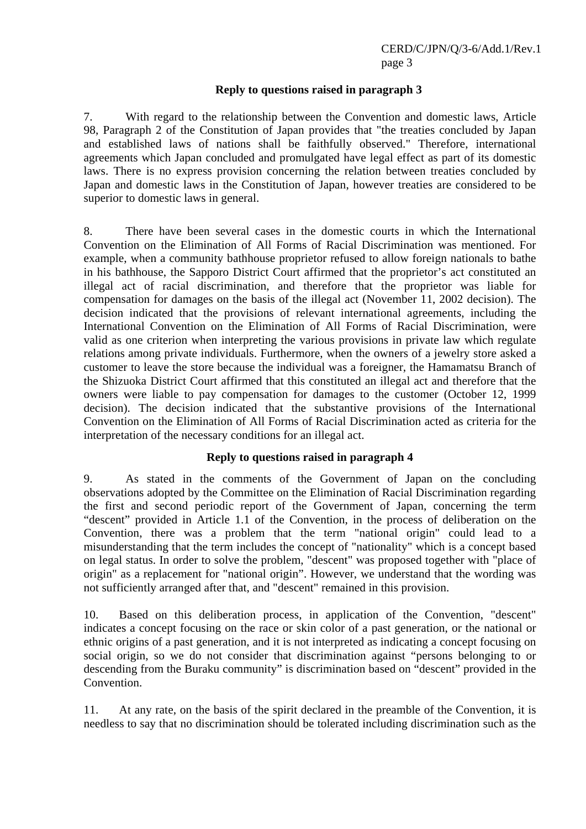#### **Reply to questions raised in paragraph 3**

7. With regard to the relationship between the Convention and domestic laws, Article 98, Paragraph 2 of the Constitution of Japan provides that "the treaties concluded by Japan and established laws of nations shall be faithfully observed." Therefore, international agreements which Japan concluded and promulgated have legal effect as part of its domestic laws. There is no express provision concerning the relation between treaties concluded by Japan and domestic laws in the Constitution of Japan, however treaties are considered to be superior to domestic laws in general.

8. There have been several cases in the domestic courts in which the International Convention on the Elimination of All Forms of Racial Discrimination was mentioned. For example, when a community bathhouse proprietor refused to allow foreign nationals to bathe in his bathhouse, the Sapporo District Court affirmed that the proprietor's act constituted an illegal act of racial discrimination, and therefore that the proprietor was liable for compensation for damages on the basis of the illegal act (November 11, 2002 decision). The decision indicated that the provisions of relevant international agreements, including the International Convention on the Elimination of All Forms of Racial Discrimination, were valid as one criterion when interpreting the various provisions in private law which regulate relations among private individuals. Furthermore, when the owners of a jewelry store asked a customer to leave the store because the individual was a foreigner, the Hamamatsu Branch of the Shizuoka District Court affirmed that this constituted an illegal act and therefore that the owners were liable to pay compensation for damages to the customer (October 12, 1999 decision). The decision indicated that the substantive provisions of the International Convention on the Elimination of All Forms of Racial Discrimination acted as criteria for the interpretation of the necessary conditions for an illegal act.

#### **Reply to questions raised in paragraph 4**

9. As stated in the comments of the Government of Japan on the concluding observations adopted by the Committee on the Elimination of Racial Discrimination regarding the first and second periodic report of the Government of Japan, concerning the term "descent" provided in Article 1.1 of the Convention, in the process of deliberation on the Convention, there was a problem that the term "national origin" could lead to a misunderstanding that the term includes the concept of "nationality" which is a concept based on legal status. In order to solve the problem, "descent" was proposed together with "place of origin" as a replacement for "national origin". However, we understand that the wording was not sufficiently arranged after that, and "descent" remained in this provision.

10. Based on this deliberation process, in application of the Convention, "descent" indicates a concept focusing on the race or skin color of a past generation, or the national or ethnic origins of a past generation, and it is not interpreted as indicating a concept focusing on social origin, so we do not consider that discrimination against "persons belonging to or descending from the Buraku community" is discrimination based on "descent" provided in the Convention.

11. At any rate, on the basis of the spirit declared in the preamble of the Convention, it is needless to say that no discrimination should be tolerated including discrimination such as the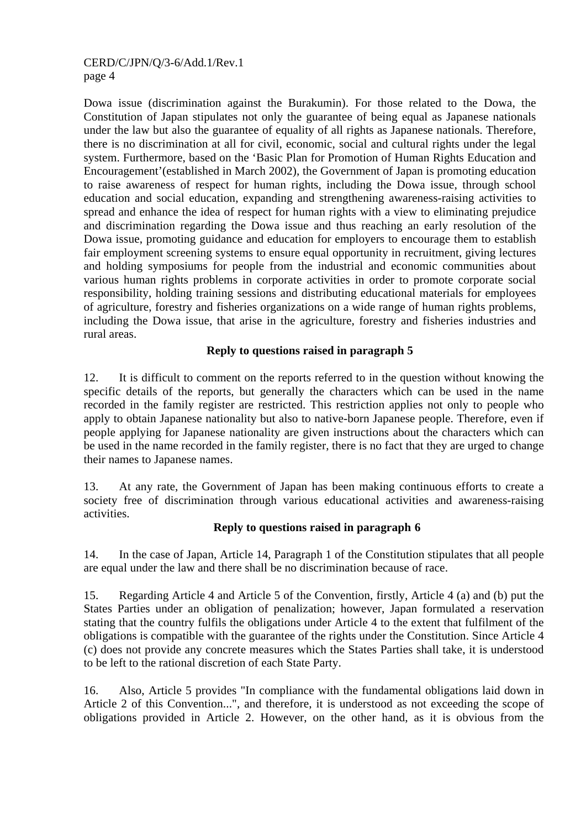Dowa issue (discrimination against the Burakumin). For those related to the Dowa, the Constitution of Japan stipulates not only the guarantee of being equal as Japanese nationals under the law but also the guarantee of equality of all rights as Japanese nationals. Therefore, there is no discrimination at all for civil, economic, social and cultural rights under the legal system. Furthermore, based on the 'Basic Plan for Promotion of Human Rights Education and Encouragement'(established in March 2002), the Government of Japan is promoting education to raise awareness of respect for human rights, including the Dowa issue, through school education and social education, expanding and strengthening awareness-raising activities to spread and enhance the idea of respect for human rights with a view to eliminating prejudice and discrimination regarding the Dowa issue and thus reaching an early resolution of the Dowa issue, promoting guidance and education for employers to encourage them to establish fair employment screening systems to ensure equal opportunity in recruitment, giving lectures and holding symposiums for people from the industrial and economic communities about various human rights problems in corporate activities in order to promote corporate social responsibility, holding training sessions and distributing educational materials for employees of agriculture, forestry and fisheries organizations on a wide range of human rights problems, including the Dowa issue, that arise in the agriculture, forestry and fisheries industries and rural areas.

## **Reply to questions raised in paragraph 5**

12. It is difficult to comment on the reports referred to in the question without knowing the specific details of the reports, but generally the characters which can be used in the name recorded in the family register are restricted. This restriction applies not only to people who apply to obtain Japanese nationality but also to native-born Japanese people. Therefore, even if people applying for Japanese nationality are given instructions about the characters which can be used in the name recorded in the family register, there is no fact that they are urged to change their names to Japanese names.

13. At any rate, the Government of Japan has been making continuous efforts to create a society free of discrimination through various educational activities and awareness-raising activities.

#### **Reply to questions raised in paragraph 6**

14. In the case of Japan, Article 14, Paragraph 1 of the Constitution stipulates that all people are equal under the law and there shall be no discrimination because of race.

15. Regarding Article 4 and Article 5 of the Convention, firstly, Article 4 (a) and (b) put the States Parties under an obligation of penalization; however, Japan formulated a reservation stating that the country fulfils the obligations under Article 4 to the extent that fulfilment of the obligations is compatible with the guarantee of the rights under the Constitution. Since Article 4 (c) does not provide any concrete measures which the States Parties shall take, it is understood to be left to the rational discretion of each State Party.

16. Also, Article 5 provides "In compliance with the fundamental obligations laid down in Article 2 of this Convention...", and therefore, it is understood as not exceeding the scope of obligations provided in Article 2. However, on the other hand, as it is obvious from the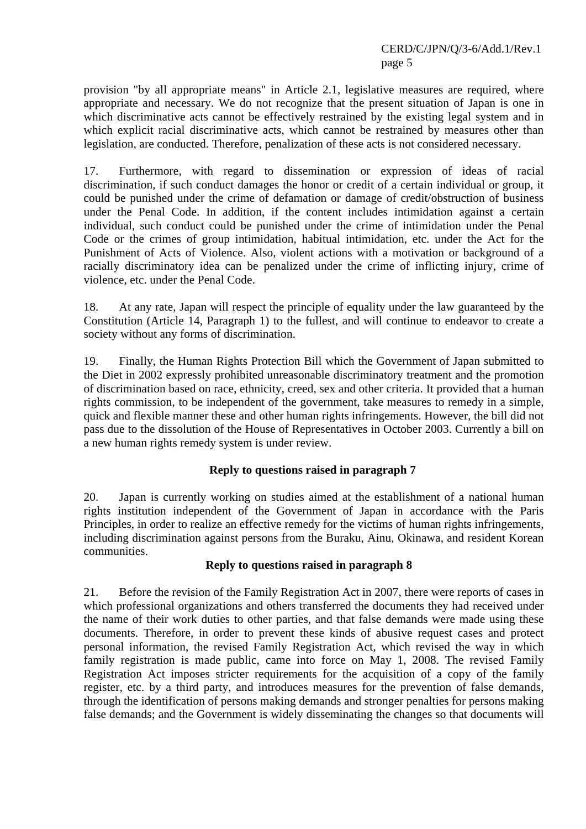provision "by all appropriate means" in Article 2.1, legislative measures are required, where appropriate and necessary. We do not recognize that the present situation of Japan is one in which discriminative acts cannot be effectively restrained by the existing legal system and in which explicit racial discriminative acts, which cannot be restrained by measures other than legislation, are conducted. Therefore, penalization of these acts is not considered necessary.

17. Furthermore, with regard to dissemination or expression of ideas of racial discrimination, if such conduct damages the honor or credit of a certain individual or group, it could be punished under the crime of defamation or damage of credit/obstruction of business under the Penal Code. In addition, if the content includes intimidation against a certain individual, such conduct could be punished under the crime of intimidation under the Penal Code or the crimes of group intimidation, habitual intimidation, etc. under the Act for the Punishment of Acts of Violence. Also, violent actions with a motivation or background of a racially discriminatory idea can be penalized under the crime of inflicting injury, crime of violence, etc. under the Penal Code.

18. At any rate, Japan will respect the principle of equality under the law guaranteed by the Constitution (Article 14, Paragraph 1) to the fullest, and will continue to endeavor to create a society without any forms of discrimination.

19. Finally, the Human Rights Protection Bill which the Government of Japan submitted to the Diet in 2002 expressly prohibited unreasonable discriminatory treatment and the promotion of discrimination based on race, ethnicity, creed, sex and other criteria. It provided that a human rights commission, to be independent of the government, take measures to remedy in a simple, quick and flexible manner these and other human rights infringements. However, the bill did not pass due to the dissolution of the House of Representatives in October 2003. Currently a bill on a new human rights remedy system is under review.

## **Reply to questions raised in paragraph 7**

20. Japan is currently working on studies aimed at the establishment of a national human rights institution independent of the Government of Japan in accordance with the Paris Principles, in order to realize an effective remedy for the victims of human rights infringements, including discrimination against persons from the Buraku, Ainu, Okinawa, and resident Korean communities.

## **Reply to questions raised in paragraph 8**

21. Before the revision of the Family Registration Act in 2007, there were reports of cases in which professional organizations and others transferred the documents they had received under the name of their work duties to other parties, and that false demands were made using these documents. Therefore, in order to prevent these kinds of abusive request cases and protect personal information, the revised Family Registration Act, which revised the way in which family registration is made public, came into force on May 1, 2008. The revised Family Registration Act imposes stricter requirements for the acquisition of a copy of the family register, etc. by a third party, and introduces measures for the prevention of false demands, through the identification of persons making demands and stronger penalties for persons making false demands; and the Government is widely disseminating the changes so that documents will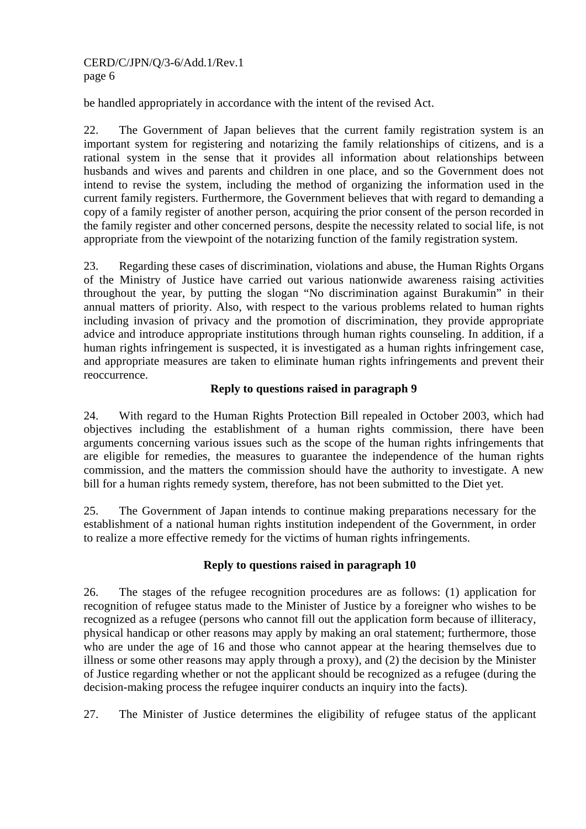be handled appropriately in accordance with the intent of the revised Act.

22. The Government of Japan believes that the current family registration system is an important system for registering and notarizing the family relationships of citizens, and is a rational system in the sense that it provides all information about relationships between husbands and wives and parents and children in one place, and so the Government does not intend to revise the system, including the method of organizing the information used in the current family registers. Furthermore, the Government believes that with regard to demanding a copy of a family register of another person, acquiring the prior consent of the person recorded in the family register and other concerned persons, despite the necessity related to social life, is not appropriate from the viewpoint of the notarizing function of the family registration system.

23. Regarding these cases of discrimination, violations and abuse, the Human Rights Organs of the Ministry of Justice have carried out various nationwide awareness raising activities throughout the year, by putting the slogan "No discrimination against Burakumin" in their annual matters of priority. Also, with respect to the various problems related to human rights including invasion of privacy and the promotion of discrimination, they provide appropriate advice and introduce appropriate institutions through human rights counseling. In addition, if a human rights infringement is suspected, it is investigated as a human rights infringement case, and appropriate measures are taken to eliminate human rights infringements and prevent their reoccurrence.

## **Reply to questions raised in paragraph 9**

24. With regard to the Human Rights Protection Bill repealed in October 2003, which had objectives including the establishment of a human rights commission, there have been arguments concerning various issues such as the scope of the human rights infringements that are eligible for remedies, the measures to guarantee the independence of the human rights commission, and the matters the commission should have the authority to investigate. A new bill for a human rights remedy system, therefore, has not been submitted to the Diet yet.

25. The Government of Japan intends to continue making preparations necessary for the establishment of a national human rights institution independent of the Government, in order to realize a more effective remedy for the victims of human rights infringements.

## **Reply to questions raised in paragraph 10**

26. The stages of the refugee recognition procedures are as follows: (1) application for recognition of refugee status made to the Minister of Justice by a foreigner who wishes to be recognized as a refugee (persons who cannot fill out the application form because of illiteracy, physical handicap or other reasons may apply by making an oral statement; furthermore, those who are under the age of 16 and those who cannot appear at the hearing themselves due to illness or some other reasons may apply through a proxy), and (2) the decision by the Minister of Justice regarding whether or not the applicant should be recognized as a refugee (during the decision-making process the refugee inquirer conducts an inquiry into the facts).

27. The Minister of Justice determines the eligibility of refugee status of the applicant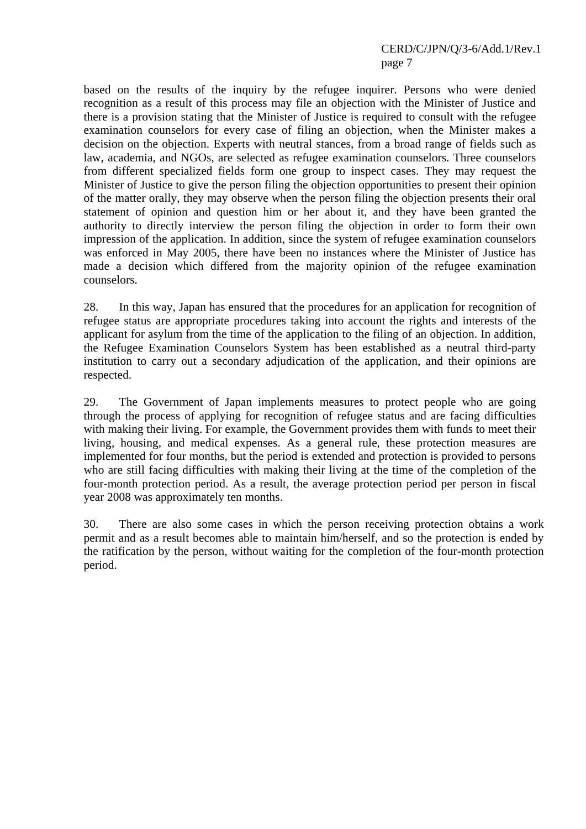based on the results of the inquiry by the refugee inquirer. Persons who were denied recognition as a result of this process may file an objection with the Minister of Justice and there is a provision stating that the Minister of Justice is required to consult with the refugee examination counselors for every case of filing an objection, when the Minister makes a decision on the objection. Experts with neutral stances, from a broad range of fields such as law, academia, and NGOs, are selected as refugee examination counselors. Three counselors from different specialized fields form one group to inspect cases. They may request the Minister of Justice to give the person filing the objection opportunities to present their opinion of the matter orally, they may observe when the person filing the objection presents their oral statement of opinion and question him or her about it, and they have been granted the authority to directly interview the person filing the objection in order to form their own impression of the application. In addition, since the system of refugee examination counselors was enforced in May 2005, there have been no instances where the Minister of Justice has made a decision which differed from the majority opinion of the refugee examination counselors.

28. In this way, Japan has ensured that the procedures for an application for recognition of refugee status are appropriate procedures taking into account the rights and interests of the applicant for asylum from the time of the application to the filing of an objection. In addition, the Refugee Examination Counselors System has been established as a neutral third-party institution to carry out a secondary adjudication of the application, and their opinions are respected.

29. The Government of Japan implements measures to protect people who are going through the process of applying for recognition of refugee status and are facing difficulties with making their living. For example, the Government provides them with funds to meet their living, housing, and medical expenses. As a general rule, these protection measures are implemented for four months, but the period is extended and protection is provided to persons who are still facing difficulties with making their living at the time of the completion of the four-month protection period. As a result, the average protection period per person in fiscal year 2008 was approximately ten months.

30. There are also some cases in which the person receiving protection obtains a work permit and as a result becomes able to maintain him/herself, and so the protection is ended by the ratification by the person, without waiting for the completion of the four-month protection period.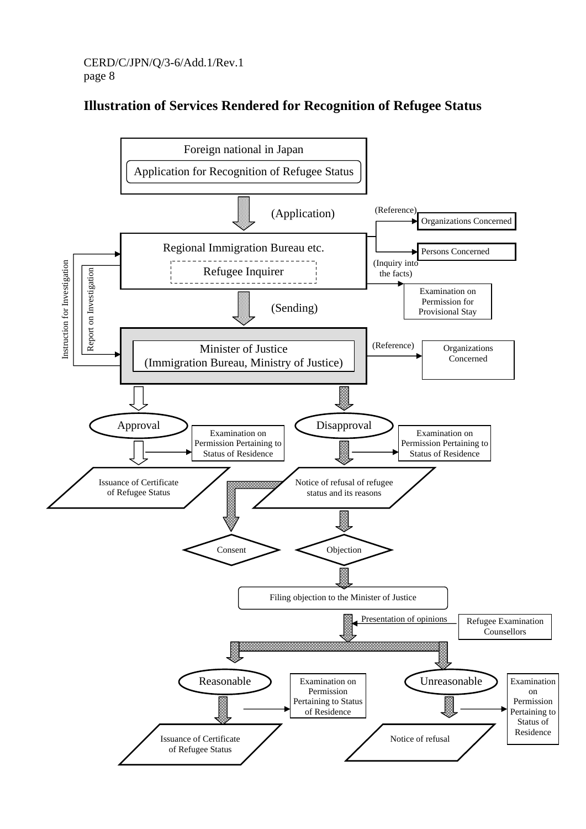## **Illustration of Services Rendered for Recognition of Refugee Status**

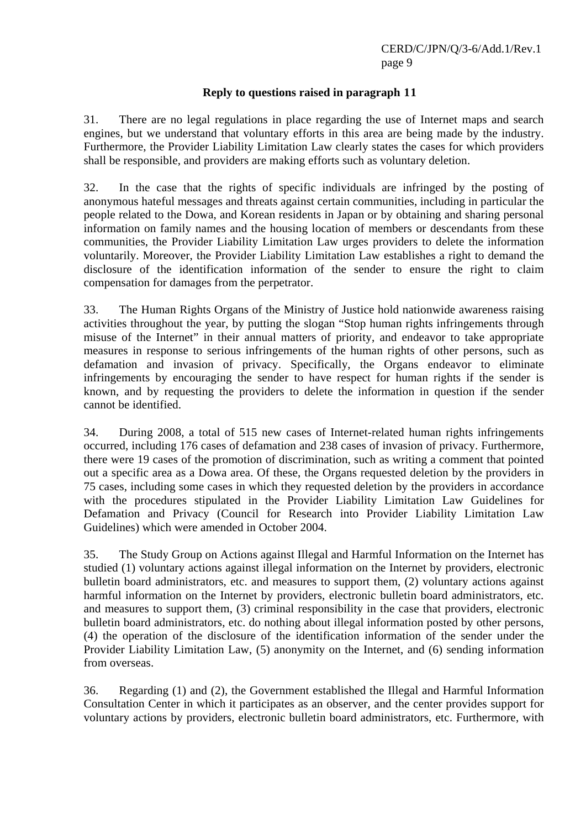#### **Reply to questions raised in paragraph 11**

31. There are no legal regulations in place regarding the use of Internet maps and search engines, but we understand that voluntary efforts in this area are being made by the industry. Furthermore, the Provider Liability Limitation Law clearly states the cases for which providers shall be responsible, and providers are making efforts such as voluntary deletion.

32. In the case that the rights of specific individuals are infringed by the posting of anonymous hateful messages and threats against certain communities, including in particular the people related to the Dowa, and Korean residents in Japan or by obtaining and sharing personal information on family names and the housing location of members or descendants from these communities, the Provider Liability Limitation Law urges providers to delete the information voluntarily. Moreover, the Provider Liability Limitation Law establishes a right to demand the disclosure of the identification information of the sender to ensure the right to claim compensation for damages from the perpetrator.

33. The Human Rights Organs of the Ministry of Justice hold nationwide awareness raising activities throughout the year, by putting the slogan "Stop human rights infringements through misuse of the Internet" in their annual matters of priority, and endeavor to take appropriate measures in response to serious infringements of the human rights of other persons, such as defamation and invasion of privacy. Specifically, the Organs endeavor to eliminate infringements by encouraging the sender to have respect for human rights if the sender is known, and by requesting the providers to delete the information in question if the sender cannot be identified.

34. During 2008, a total of 515 new cases of Internet-related human rights infringements occurred, including 176 cases of defamation and 238 cases of invasion of privacy. Furthermore, there were 19 cases of the promotion of discrimination, such as writing a comment that pointed out a specific area as a Dowa area. Of these, the Organs requested deletion by the providers in 75 cases, including some cases in which they requested deletion by the providers in accordance with the procedures stipulated in the Provider Liability Limitation Law Guidelines for Defamation and Privacy (Council for Research into Provider Liability Limitation Law Guidelines) which were amended in October 2004.

35. The Study Group on Actions against Illegal and Harmful Information on the Internet has studied (1) voluntary actions against illegal information on the Internet by providers, electronic bulletin board administrators, etc. and measures to support them, (2) voluntary actions against harmful information on the Internet by providers, electronic bulletin board administrators, etc. and measures to support them, (3) criminal responsibility in the case that providers, electronic bulletin board administrators, etc. do nothing about illegal information posted by other persons, (4) the operation of the disclosure of the identification information of the sender under the Provider Liability Limitation Law, (5) anonymity on the Internet, and (6) sending information from overseas.

36. Regarding (1) and (2), the Government established the Illegal and Harmful Information Consultation Center in which it participates as an observer, and the center provides support for voluntary actions by providers, electronic bulletin board administrators, etc. Furthermore, with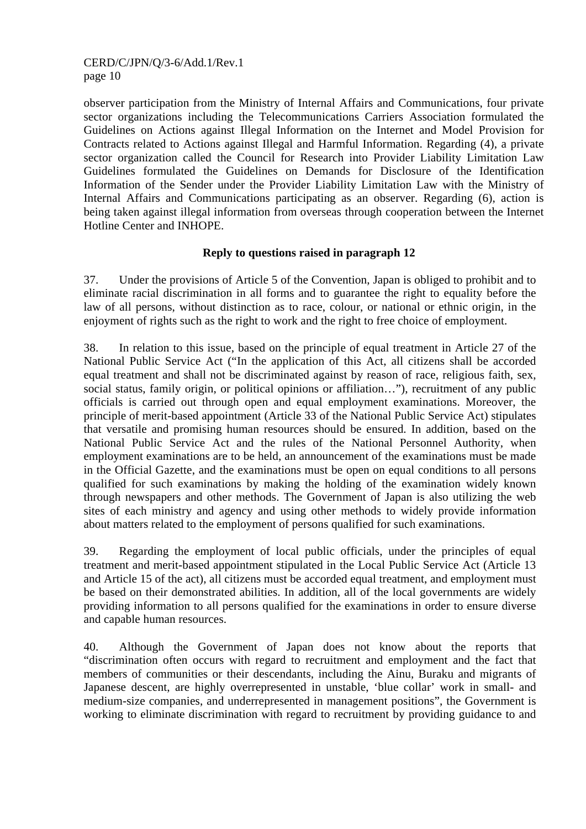observer participation from the Ministry of Internal Affairs and Communications, four private sector organizations including the Telecommunications Carriers Association formulated the Guidelines on Actions against Illegal Information on the Internet and Model Provision for Contracts related to Actions against Illegal and Harmful Information. Regarding (4), a private sector organization called the Council for Research into Provider Liability Limitation Law Guidelines formulated the Guidelines on Demands for Disclosure of the Identification Information of the Sender under the Provider Liability Limitation Law with the Ministry of Internal Affairs and Communications participating as an observer. Regarding (6), action is being taken against illegal information from overseas through cooperation between the Internet Hotline Center and INHOPE.

## **Reply to questions raised in paragraph 12**

37. Under the provisions of Article 5 of the Convention, Japan is obliged to prohibit and to eliminate racial discrimination in all forms and to guarantee the right to equality before the law of all persons, without distinction as to race, colour, or national or ethnic origin, in the enjoyment of rights such as the right to work and the right to free choice of employment.

38. In relation to this issue, based on the principle of equal treatment in Article 27 of the National Public Service Act ("In the application of this Act, all citizens shall be accorded equal treatment and shall not be discriminated against by reason of race, religious faith, sex, social status, family origin, or political opinions or affiliation…"), recruitment of any public officials is carried out through open and equal employment examinations. Moreover, the principle of merit-based appointment (Article 33 of the National Public Service Act) stipulates that versatile and promising human resources should be ensured. In addition, based on the National Public Service Act and the rules of the National Personnel Authority, when employment examinations are to be held, an announcement of the examinations must be made in the Official Gazette, and the examinations must be open on equal conditions to all persons qualified for such examinations by making the holding of the examination widely known through newspapers and other methods. The Government of Japan is also utilizing the web sites of each ministry and agency and using other methods to widely provide information about matters related to the employment of persons qualified for such examinations.

39. Regarding the employment of local public officials, under the principles of equal treatment and merit-based appointment stipulated in the Local Public Service Act (Article 13 and Article 15 of the act), all citizens must be accorded equal treatment, and employment must be based on their demonstrated abilities. In addition, all of the local governments are widely providing information to all persons qualified for the examinations in order to ensure diverse and capable human resources.

40. Although the Government of Japan does not know about the reports that "discrimination often occurs with regard to recruitment and employment and the fact that members of communities or their descendants, including the Ainu, Buraku and migrants of Japanese descent, are highly overrepresented in unstable, 'blue collar' work in small- and medium-size companies, and underrepresented in management positions", the Government is working to eliminate discrimination with regard to recruitment by providing guidance to and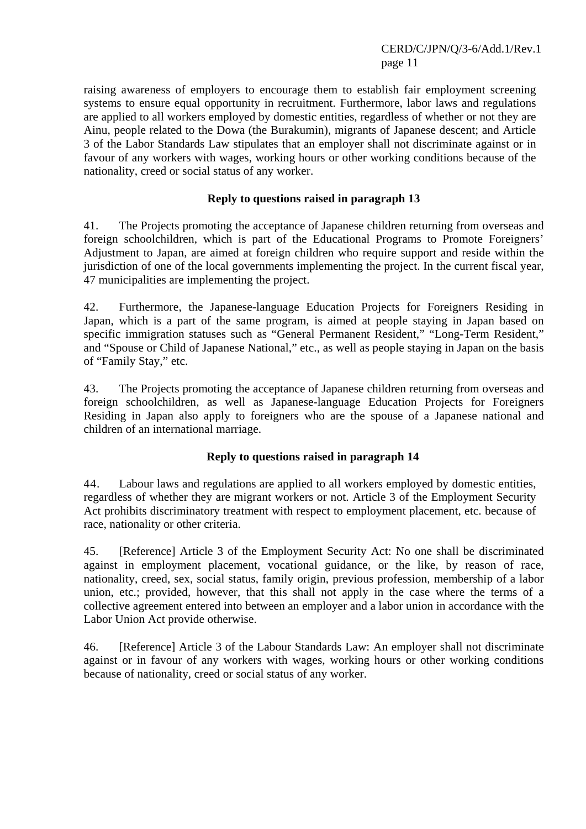raising awareness of employers to encourage them to establish fair employment screening systems to ensure equal opportunity in recruitment. Furthermore, labor laws and regulations are applied to all workers employed by domestic entities, regardless of whether or not they are Ainu, people related to the Dowa (the Burakumin), migrants of Japanese descent; and Article 3 of the Labor Standards Law stipulates that an employer shall not discriminate against or in favour of any workers with wages, working hours or other working conditions because of the nationality, creed or social status of any worker.

#### **Reply to questions raised in paragraph 13**

41. The Projects promoting the acceptance of Japanese children returning from overseas and foreign schoolchildren, which is part of the Educational Programs to Promote Foreigners' Adjustment to Japan, are aimed at foreign children who require support and reside within the jurisdiction of one of the local governments implementing the project. In the current fiscal year, 47 municipalities are implementing the project.

42. Furthermore, the Japanese-language Education Projects for Foreigners Residing in Japan, which is a part of the same program, is aimed at people staying in Japan based on specific immigration statuses such as "General Permanent Resident," "Long-Term Resident," and "Spouse or Child of Japanese National," etc., as well as people staying in Japan on the basis of "Family Stay," etc.

43. The Projects promoting the acceptance of Japanese children returning from overseas and foreign schoolchildren, as well as Japanese-language Education Projects for Foreigners Residing in Japan also apply to foreigners who are the spouse of a Japanese national and children of an international marriage.

## **Reply to questions raised in paragraph 14**

44. Labour laws and regulations are applied to all workers employed by domestic entities, regardless of whether they are migrant workers or not. Article 3 of the Employment Security Act prohibits discriminatory treatment with respect to employment placement, etc. because of race, nationality or other criteria.

45. [Reference] Article 3 of the Employment Security Act: No one shall be discriminated against in employment placement, vocational guidance, or the like, by reason of race, nationality, creed, sex, social status, family origin, previous profession, membership of a labor union, etc.; provided, however, that this shall not apply in the case where the terms of a collective agreement entered into between an employer and a labor union in accordance with the Labor Union Act provide otherwise.

46. [Reference] Article 3 of the Labour Standards Law: An employer shall not discriminate against or in favour of any workers with wages, working hours or other working conditions because of nationality, creed or social status of any worker.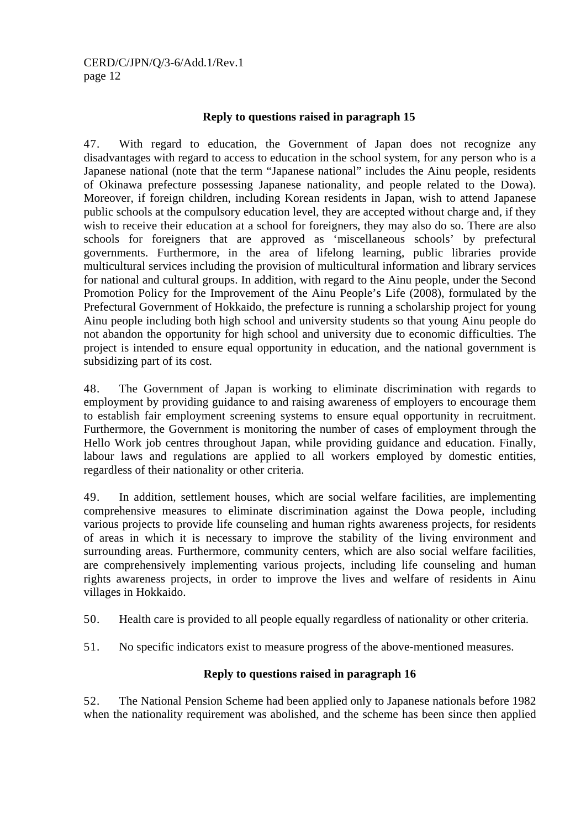#### **Reply to questions raised in paragraph 15**

47. With regard to education, the Government of Japan does not recognize any disadvantages with regard to access to education in the school system, for any person who is a Japanese national (note that the term "Japanese national" includes the Ainu people, residents of Okinawa prefecture possessing Japanese nationality, and people related to the Dowa). Moreover, if foreign children, including Korean residents in Japan, wish to attend Japanese public schools at the compulsory education level, they are accepted without charge and, if they wish to receive their education at a school for foreigners, they may also do so. There are also schools for foreigners that are approved as 'miscellaneous schools' by prefectural governments. Furthermore, in the area of lifelong learning, public libraries provide multicultural services including the provision of multicultural information and library services for national and cultural groups. In addition, with regard to the Ainu people, under the Second Promotion Policy for the Improvement of the Ainu People's Life (2008), formulated by the Prefectural Government of Hokkaido, the prefecture is running a scholarship project for young Ainu people including both high school and university students so that young Ainu people do not abandon the opportunity for high school and university due to economic difficulties. The project is intended to ensure equal opportunity in education, and the national government is subsidizing part of its cost.

48. The Government of Japan is working to eliminate discrimination with regards to employment by providing guidance to and raising awareness of employers to encourage them to establish fair employment screening systems to ensure equal opportunity in recruitment. Furthermore, the Government is monitoring the number of cases of employment through the Hello Work job centres throughout Japan, while providing guidance and education. Finally, labour laws and regulations are applied to all workers employed by domestic entities, regardless of their nationality or other criteria.

49. In addition, settlement houses, which are social welfare facilities, are implementing comprehensive measures to eliminate discrimination against the Dowa people, including various projects to provide life counseling and human rights awareness projects, for residents of areas in which it is necessary to improve the stability of the living environment and surrounding areas. Furthermore, community centers, which are also social welfare facilities, are comprehensively implementing various projects, including life counseling and human rights awareness projects, in order to improve the lives and welfare of residents in Ainu villages in Hokkaido.

50. Health care is provided to all people equally regardless of nationality or other criteria.

51. No specific indicators exist to measure progress of the above-mentioned measures.

#### **Reply to questions raised in paragraph 16**

52. The National Pension Scheme had been applied only to Japanese nationals before 1982 when the nationality requirement was abolished, and the scheme has been since then applied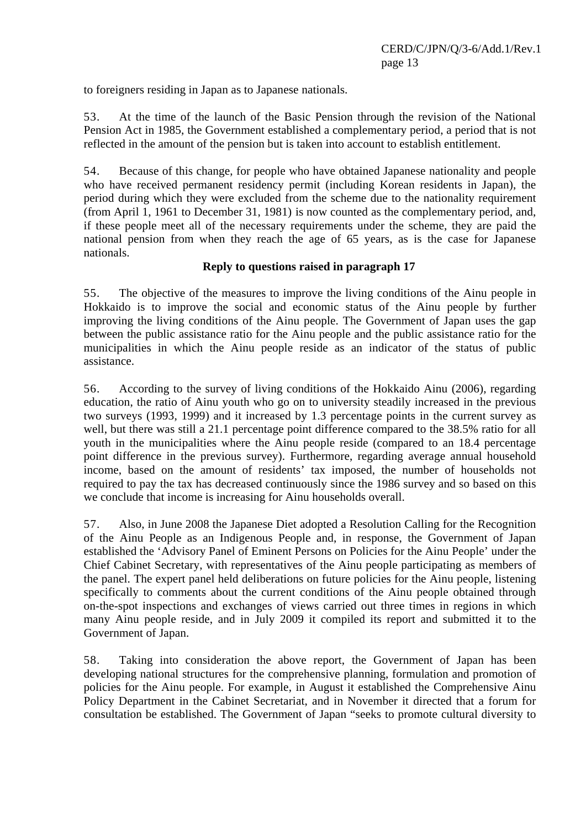to foreigners residing in Japan as to Japanese nationals.

53. At the time of the launch of the Basic Pension through the revision of the National Pension Act in 1985, the Government established a complementary period, a period that is not reflected in the amount of the pension but is taken into account to establish entitlement.

54. Because of this change, for people who have obtained Japanese nationality and people who have received permanent residency permit (including Korean residents in Japan), the period during which they were excluded from the scheme due to the nationality requirement (from April 1, 1961 to December 31, 1981) is now counted as the complementary period, and, if these people meet all of the necessary requirements under the scheme, they are paid the national pension from when they reach the age of 65 years, as is the case for Japanese nationals.

#### **Reply to questions raised in paragraph 17**

55. The objective of the measures to improve the living conditions of the Ainu people in Hokkaido is to improve the social and economic status of the Ainu people by further improving the living conditions of the Ainu people. The Government of Japan uses the gap between the public assistance ratio for the Ainu people and the public assistance ratio for the municipalities in which the Ainu people reside as an indicator of the status of public assistance.

56. According to the survey of living conditions of the Hokkaido Ainu (2006), regarding education, the ratio of Ainu youth who go on to university steadily increased in the previous two surveys (1993, 1999) and it increased by 1.3 percentage points in the current survey as well, but there was still a 21.1 percentage point difference compared to the 38.5% ratio for all youth in the municipalities where the Ainu people reside (compared to an 18.4 percentage point difference in the previous survey). Furthermore, regarding average annual household income, based on the amount of residents' tax imposed, the number of households not required to pay the tax has decreased continuously since the 1986 survey and so based on this we conclude that income is increasing for Ainu households overall.

57. Also, in June 2008 the Japanese Diet adopted a Resolution Calling for the Recognition of the Ainu People as an Indigenous People and, in response, the Government of Japan established the 'Advisory Panel of Eminent Persons on Policies for the Ainu People' under the Chief Cabinet Secretary, with representatives of the Ainu people participating as members of the panel. The expert panel held deliberations on future policies for the Ainu people, listening specifically to comments about the current conditions of the Ainu people obtained through on-the-spot inspections and exchanges of views carried out three times in regions in which many Ainu people reside, and in July 2009 it compiled its report and submitted it to the Government of Japan.

58. Taking into consideration the above report, the Government of Japan has been developing national structures for the comprehensive planning, formulation and promotion of policies for the Ainu people. For example, in August it established the Comprehensive Ainu Policy Department in the Cabinet Secretariat, and in November it directed that a forum for consultation be established. The Government of Japan "seeks to promote cultural diversity to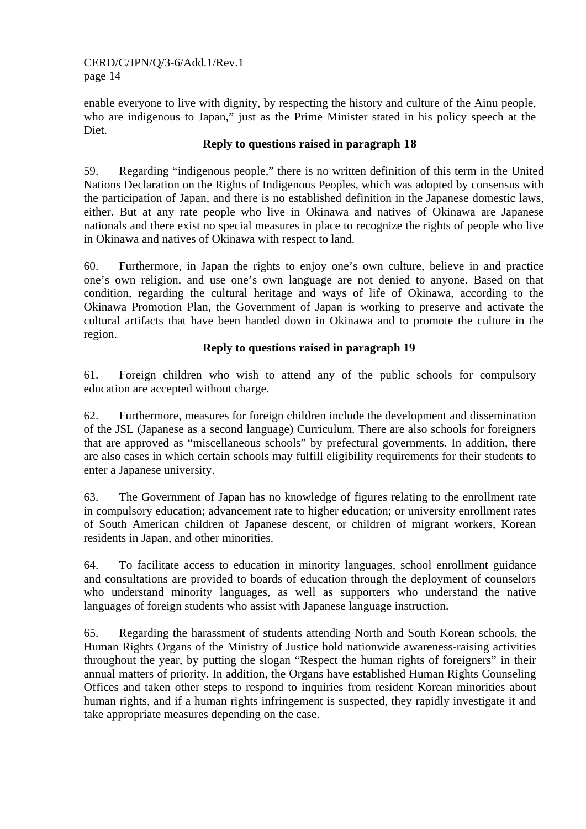enable everyone to live with dignity, by respecting the history and culture of the Ainu people, who are indigenous to Japan," just as the Prime Minister stated in his policy speech at the Diet.

## **Reply to questions raised in paragraph 18**

59. Regarding "indigenous people," there is no written definition of this term in the United Nations Declaration on the Rights of Indigenous Peoples, which was adopted by consensus with the participation of Japan, and there is no established definition in the Japanese domestic laws, either. But at any rate people who live in Okinawa and natives of Okinawa are Japanese nationals and there exist no special measures in place to recognize the rights of people who live in Okinawa and natives of Okinawa with respect to land.

60. Furthermore, in Japan the rights to enjoy one's own culture, believe in and practice one's own religion, and use one's own language are not denied to anyone. Based on that condition, regarding the cultural heritage and ways of life of Okinawa, according to the Okinawa Promotion Plan, the Government of Japan is working to preserve and activate the cultural artifacts that have been handed down in Okinawa and to promote the culture in the region.

## **Reply to questions raised in paragraph 19**

61. Foreign children who wish to attend any of the public schools for compulsory education are accepted without charge.

62. Furthermore, measures for foreign children include the development and dissemination of the JSL (Japanese as a second language) Curriculum. There are also schools for foreigners that are approved as "miscellaneous schools" by prefectural governments. In addition, there are also cases in which certain schools may fulfill eligibility requirements for their students to enter a Japanese university.

63. The Government of Japan has no knowledge of figures relating to the enrollment rate in compulsory education; advancement rate to higher education; or university enrollment rates of South American children of Japanese descent, or children of migrant workers, Korean residents in Japan, and other minorities.

64. To facilitate access to education in minority languages, school enrollment guidance and consultations are provided to boards of education through the deployment of counselors who understand minority languages, as well as supporters who understand the native languages of foreign students who assist with Japanese language instruction.

65. Regarding the harassment of students attending North and South Korean schools, the Human Rights Organs of the Ministry of Justice hold nationwide awareness-raising activities throughout the year, by putting the slogan "Respect the human rights of foreigners" in their annual matters of priority. In addition, the Organs have established Human Rights Counseling Offices and taken other steps to respond to inquiries from resident Korean minorities about human rights, and if a human rights infringement is suspected, they rapidly investigate it and take appropriate measures depending on the case.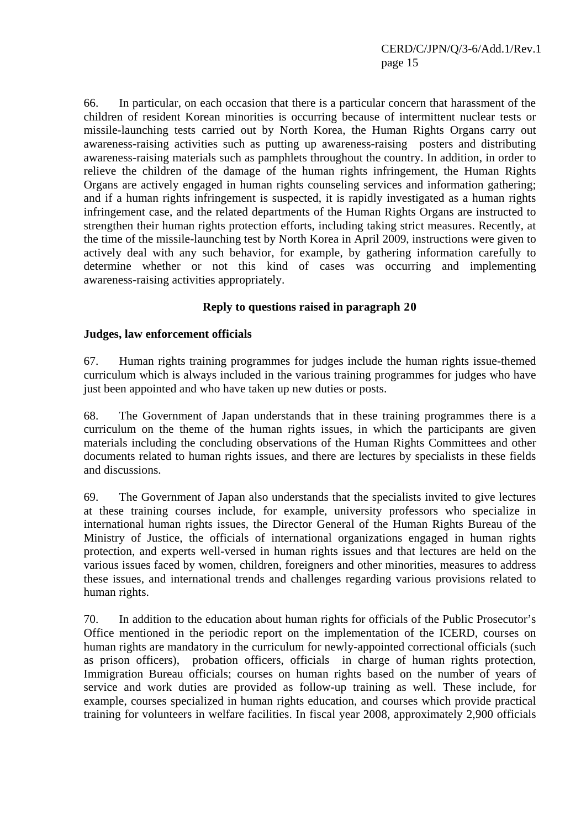66. In particular, on each occasion that there is a particular concern that harassment of the children of resident Korean minorities is occurring because of intermittent nuclear tests or missile-launching tests carried out by North Korea, the Human Rights Organs carry out awareness-raising activities such as putting up awareness-raising posters and distributing awareness-raising materials such as pamphlets throughout the country. In addition, in order to relieve the children of the damage of the human rights infringement, the Human Rights Organs are actively engaged in human rights counseling services and information gathering; and if a human rights infringement is suspected, it is rapidly investigated as a human rights infringement case, and the related departments of the Human Rights Organs are instructed to strengthen their human rights protection efforts, including taking strict measures. Recently, at the time of the missile-launching test by North Korea in April 2009, instructions were given to actively deal with any such behavior, for example, by gathering information carefully to determine whether or not this kind of cases was occurring and implementing awareness-raising activities appropriately.

## **Reply to questions raised in paragraph 20**

#### **Judges, law enforcement officials**

67. Human rights training programmes for judges include the human rights issue-themed curriculum which is always included in the various training programmes for judges who have just been appointed and who have taken up new duties or posts.

68. The Government of Japan understands that in these training programmes there is a curriculum on the theme of the human rights issues, in which the participants are given materials including the concluding observations of the Human Rights Committees and other documents related to human rights issues, and there are lectures by specialists in these fields and discussions.

69. The Government of Japan also understands that the specialists invited to give lectures at these training courses include, for example, university professors who specialize in international human rights issues, the Director General of the Human Rights Bureau of the Ministry of Justice, the officials of international organizations engaged in human rights protection, and experts well-versed in human rights issues and that lectures are held on the various issues faced by women, children, foreigners and other minorities, measures to address these issues, and international trends and challenges regarding various provisions related to human rights.

70. In addition to the education about human rights for officials of the Public Prosecutor's Office mentioned in the periodic report on the implementation of the ICERD, courses on human rights are mandatory in the curriculum for newly-appointed correctional officials (such as prison officers), probation officers, officials in charge of human rights protection, Immigration Bureau officials; courses on human rights based on the number of years of service and work duties are provided as follow-up training as well. These include, for example, courses specialized in human rights education, and courses which provide practical training for volunteers in welfare facilities. In fiscal year 2008, approximately 2,900 officials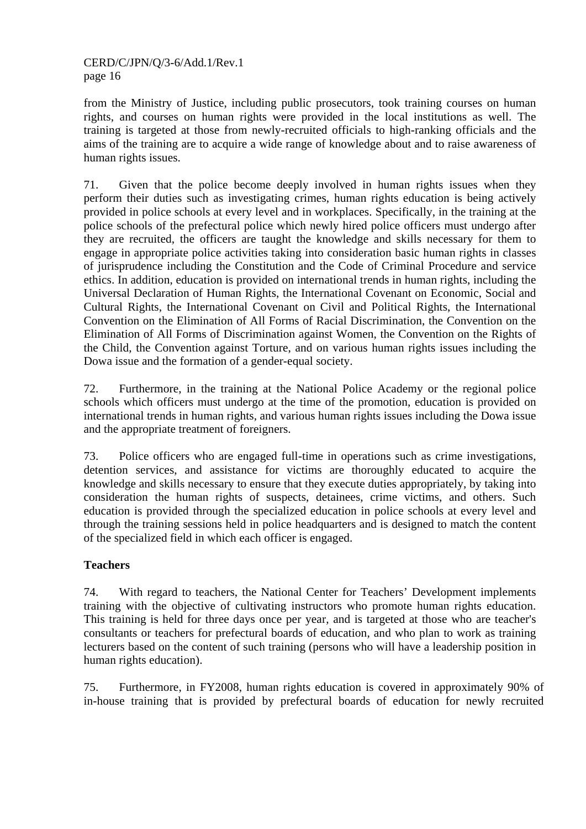from the Ministry of Justice, including public prosecutors, took training courses on human rights, and courses on human rights were provided in the local institutions as well. The training is targeted at those from newly-recruited officials to high-ranking officials and the aims of the training are to acquire a wide range of knowledge about and to raise awareness of human rights issues.

71. Given that the police become deeply involved in human rights issues when they perform their duties such as investigating crimes, human rights education is being actively provided in police schools at every level and in workplaces. Specifically, in the training at the police schools of the prefectural police which newly hired police officers must undergo after they are recruited, the officers are taught the knowledge and skills necessary for them to engage in appropriate police activities taking into consideration basic human rights in classes of jurisprudence including the Constitution and the Code of Criminal Procedure and service ethics. In addition, education is provided on international trends in human rights, including the Universal Declaration of Human Rights, the International Covenant on Economic, Social and Cultural Rights, the International Covenant on Civil and Political Rights, the International Convention on the Elimination of All Forms of Racial Discrimination, the Convention on the Elimination of All Forms of Discrimination against Women, the Convention on the Rights of the Child, the Convention against Torture, and on various human rights issues including the Dowa issue and the formation of a gender-equal society.

72. Furthermore, in the training at the National Police Academy or the regional police schools which officers must undergo at the time of the promotion, education is provided on international trends in human rights, and various human rights issues including the Dowa issue and the appropriate treatment of foreigners.

73. Police officers who are engaged full-time in operations such as crime investigations, detention services, and assistance for victims are thoroughly educated to acquire the knowledge and skills necessary to ensure that they execute duties appropriately, by taking into consideration the human rights of suspects, detainees, crime victims, and others. Such education is provided through the specialized education in police schools at every level and through the training sessions held in police headquarters and is designed to match the content of the specialized field in which each officer is engaged.

## **Teachers**

74. With regard to teachers, the National Center for Teachers' Development implements training with the objective of cultivating instructors who promote human rights education. This training is held for three days once per year, and is targeted at those who are teacher's consultants or teachers for prefectural boards of education, and who plan to work as training lecturers based on the content of such training (persons who will have a leadership position in human rights education).

75. Furthermore, in FY2008, human rights education is covered in approximately 90% of in-house training that is provided by prefectural boards of education for newly recruited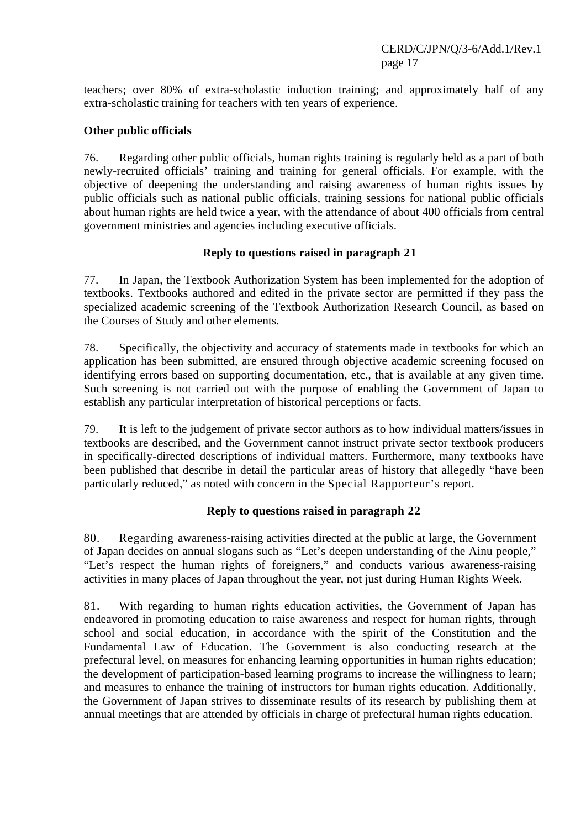teachers; over 80% of extra-scholastic induction training; and approximately half of any extra-scholastic training for teachers with ten years of experience.

## **Other public officials**

76. Regarding other public officials, human rights training is regularly held as a part of both newly-recruited officials' training and training for general officials. For example, with the objective of deepening the understanding and raising awareness of human rights issues by public officials such as national public officials, training sessions for national public officials about human rights are held twice a year, with the attendance of about 400 officials from central government ministries and agencies including executive officials.

## **Reply to questions raised in paragraph 21**

77. In Japan, the Textbook Authorization System has been implemented for the adoption of textbooks. Textbooks authored and edited in the private sector are permitted if they pass the specialized academic screening of the Textbook Authorization Research Council, as based on the Courses of Study and other elements.

78. Specifically, the objectivity and accuracy of statements made in textbooks for which an application has been submitted, are ensured through objective academic screening focused on identifying errors based on supporting documentation, etc., that is available at any given time. Such screening is not carried out with the purpose of enabling the Government of Japan to establish any particular interpretation of historical perceptions or facts.

79. It is left to the judgement of private sector authors as to how individual matters/issues in textbooks are described, and the Government cannot instruct private sector textbook producers in specifically-directed descriptions of individual matters. Furthermore, many textbooks have been published that describe in detail the particular areas of history that allegedly "have been particularly reduced," as noted with concern in the Special Rapporteur's report.

## **Reply to questions raised in paragraph 22**

80. Regarding awareness-raising activities directed at the public at large, the Government of Japan decides on annual slogans such as "Let's deepen understanding of the Ainu people," "Let's respect the human rights of foreigners," and conducts various awareness-raising activities in many places of Japan throughout the year, not just during Human Rights Week.

81. With regarding to human rights education activities, the Government of Japan has endeavored in promoting education to raise awareness and respect for human rights, through school and social education, in accordance with the spirit of the Constitution and the Fundamental Law of Education. The Government is also conducting research at the prefectural level, on measures for enhancing learning opportunities in human rights education; the development of participation-based learning programs to increase the willingness to learn; and measures to enhance the training of instructors for human rights education. Additionally, the Government of Japan strives to disseminate results of its research by publishing them at annual meetings that are attended by officials in charge of prefectural human rights education.